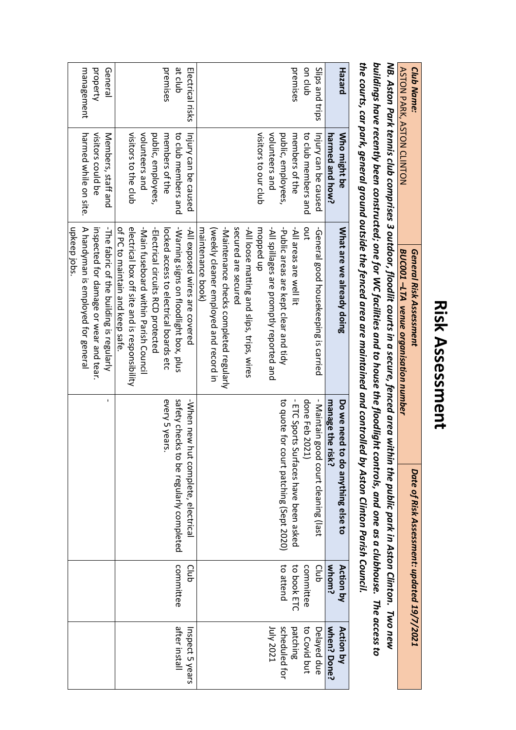## **Risk Assessment Risk Assessment**

| <b>ASTON PARK, ASTON CLINTON</b><br><b>Club Name:</b> |                 | the courts, car park, general ground outside the fenced area are maintained and controlled by Aston Clinton Parish Council.<br>NB. Aston Park tennis club comprises 3 outdoor, floodlit courts in a secure, fenced area within the public park in Aston Clinton. Two new<br>buildings have recently been constructed; one for WC facilities and to house the floodlight<br>General Risk Assessment<br>BUC001-LTA venue organisation number |                      | controls, and one as a clubhouse. The access to<br>Date of Risk Assessment: updated 19/7/2021 |                  |                                                                                   |
|-------------------------------------------------------|-----------------|--------------------------------------------------------------------------------------------------------------------------------------------------------------------------------------------------------------------------------------------------------------------------------------------------------------------------------------------------------------------------------------------------------------------------------------------|----------------------|-----------------------------------------------------------------------------------------------|------------------|-----------------------------------------------------------------------------------|
|                                                       |                 |                                                                                                                                                                                                                                                                                                                                                                                                                                            |                      |                                                                                               |                  |                                                                                   |
|                                                       |                 |                                                                                                                                                                                                                                                                                                                                                                                                                                            |                      |                                                                                               |                  |                                                                                   |
|                                                       |                 |                                                                                                                                                                                                                                                                                                                                                                                                                                            |                      |                                                                                               |                  |                                                                                   |
| <b>Hazard</b>                                         | Who might be    | What are we already doing                                                                                                                                                                                                                                                                                                                                                                                                                  | Do we need           | to do anything else to                                                                        | <b>Action by</b> | <b>Action by</b>                                                                  |
|                                                       | harmed and how? |                                                                                                                                                                                                                                                                                                                                                                                                                                            | manage the r<br>isk? |                                                                                               | whom?            | when? Done?                                                                       |
|                                                       |                 |                                                                                                                                                                                                                                                                                                                                                                                                                                            |                      |                                                                                               | $\frac{1}{2}$    | $\frac{1}{2}$<br>$\frac{1}{2}$<br>$\frac{1}{2}$<br>$\frac{1}{2}$<br>$\frac{1}{2}$ |

| <b>Hazard</b>    | Who might be          | What are we already doing                     | Do we need<br>to do anything else to       | Action by   | Action by       |
|------------------|-----------------------|-----------------------------------------------|--------------------------------------------|-------------|-----------------|
|                  | harmed and how?       |                                               | manage the risk?                           | whom?       | when? Done?     |
| Slips and trips  | Injury can be caused  | -General good housekeeping is carried         | - Maintain good court cleaning (last       | Club        | Delayed due     |
| on club          | to club members and   | out                                           | done Feb 2021)                             | committee   | to Covid but    |
| premises         | members of the        | -All areas are well lit                       | - ETC Sports Surfaces have been asked      | to book ETC | patching        |
|                  | public, employees,    | -Public areas are kept clear and tidy         | to quote for court patching (Sept 2020)    | to attend   | scheduled for   |
|                  | volunteers and        | -All spillages are promptly reported and      |                                            |             | 1uly 2021       |
|                  | visitors to our club  | uobbed up                                     |                                            |             |                 |
|                  |                       | -All loose matting and slips, trips, wires    |                                            |             |                 |
|                  |                       | secured are secured                           |                                            |             |                 |
|                  |                       | -Maintenance checks completed regularly       |                                            |             |                 |
|                  |                       | (weekly cleaner employed and record in        |                                            |             |                 |
|                  |                       | maintenance book)                             |                                            |             |                 |
| Electrical risks | Injury can be caused  | -All exposed wires are covered                | -When new h<br>ut complete, electrical     | Club        | Inspect 5 years |
| at club          | to club members and   | -Warning signs on floodlight box, plus        | safety checks<br>to be regularly completed | committee   | after install   |
| premises         | members of the        | locked access to electrical boards etc        | every 5 years                              |             |                 |
|                  | public, employees,    | -Electrical circuits RCD protected            |                                            |             |                 |
|                  | volunteers and        | -Nain fuseboard within parish Council         |                                            |             |                 |
|                  | visitors to the club  | electrical pox off site and is responsibility |                                            |             |                 |
|                  |                       | of PC to maintain and keep safe               |                                            |             |                 |
| General          | Members, staff and    | -The fabric of the building is regularly      | ï                                          |             |                 |
| property         | visitors could be     | inspected for damage or wear and tear.        |                                            |             |                 |
| management       | harmed while on site. | A handyman is employed for general            |                                            |             |                 |
|                  |                       | upkeep jobs.                                  |                                            |             |                 |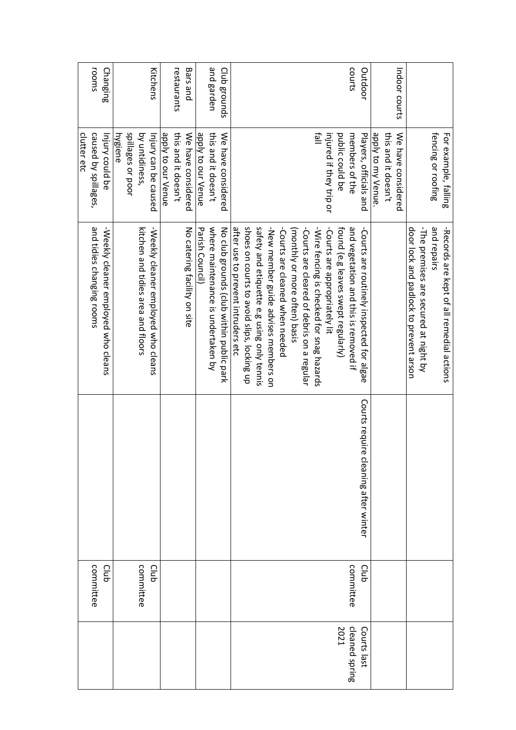|                |           |                                      |                                            | clutter etc             |               |
|----------------|-----------|--------------------------------------|--------------------------------------------|-------------------------|---------------|
|                | committee |                                      | and tidies changing rooms                  | caused by spillages,    | rooms         |
|                | Club      |                                      | -Weekly cleaner employed who cleans        | Injury could be         | Changing      |
|                |           |                                      |                                            | hygiene                 |               |
|                |           |                                      |                                            | spillages or poor       |               |
|                | committee |                                      | kitchen and tidies area and Hoors          | by untidiness,          |               |
|                | Club      |                                      | -Weekly cleaner employed who cleans        | lnjury can be caused    | Kitchens      |
|                |           |                                      |                                            | apply to our Venue      |               |
|                |           |                                      |                                            | this and it doesn't     | restaurants   |
|                |           |                                      | No catering facility on site               | We have considered      | Bars and      |
|                |           |                                      | Parish Council)                            | apply to our Venue      |               |
|                |           |                                      | where maintenance is undertaken by         | this and it doesn't     | and garden    |
|                |           |                                      | No club grounds (club within public park   | We have considered      | Club grounds  |
|                |           |                                      | after use to prevent intruders etc         |                         |               |
|                |           |                                      | shoes on courts to avoid slips, locking up |                         |               |
|                |           |                                      | safety and etiquette e.g using only tennis |                         |               |
|                |           |                                      | -New member guide advises members on       |                         |               |
|                |           |                                      |                                            |                         |               |
|                |           |                                      | -Courts are cleaned when needed            |                         |               |
|                |           |                                      | (monthly or more often) basis              |                         |               |
|                |           |                                      | -Courts are cleared of debris on a regular |                         |               |
|                |           |                                      | -Wire fencing is checked for snag hazards  | llell                   |               |
|                |           |                                      | -Courts are appropriately lit              | injured if they trip or |               |
| 2021           |           |                                      | tound (e.g leaves swept regularly)         | public could be         |               |
| cleaned spring | committee |                                      | and vegetation and this is removed if      | members of the          | courts        |
| Courts last    | Club      | Courts require cleaning after winter | -Courts are routinely inspected for algae  | Players, officials and  | Outdoor       |
|                |           |                                      |                                            | apply to my Venue.      |               |
|                |           |                                      |                                            | this and it doesn't     |               |
|                |           |                                      |                                            | We have considered      | Indoor courts |
|                |           |                                      | door lock and padlock to prevent arson     |                         |               |
|                |           |                                      | -The premises are secured at night by      |                         |               |
|                |           |                                      | and repairs                                | fencing or roofing      |               |
|                |           |                                      | -Records are kept of all remedial actions  | For example, falling    |               |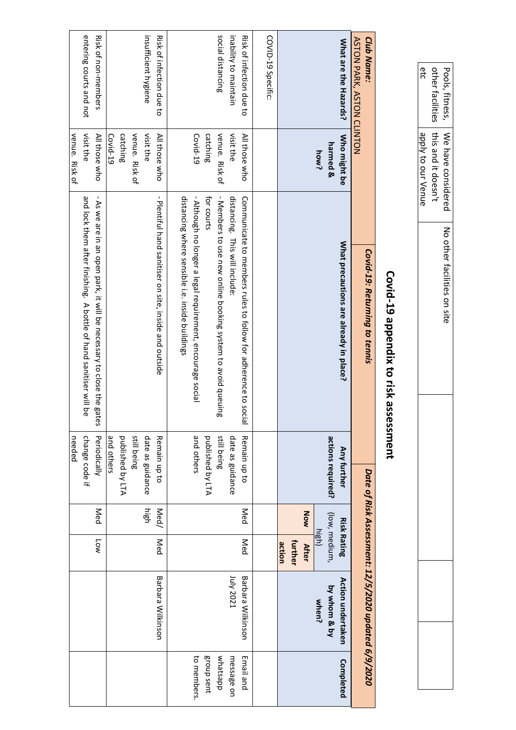|                                                                        |                                                                      | Covid-19 appendix to risk ass                                                                                                                                                                                                                                                                  | essment                                                                           |              |                                              |                                                     |                                                                 |
|------------------------------------------------------------------------|----------------------------------------------------------------------|------------------------------------------------------------------------------------------------------------------------------------------------------------------------------------------------------------------------------------------------------------------------------------------------|-----------------------------------------------------------------------------------|--------------|----------------------------------------------|-----------------------------------------------------|-----------------------------------------------------------------|
| <b>Club Name:</b><br><b>ASTON PARK, ASTON CLINTON</b>                  |                                                                      | Covid-19: Returning to tennis                                                                                                                                                                                                                                                                  |                                                                                   |              |                                              | Date of Risk Assessment: 12/5/2020 updated 6/9/2020 |                                                                 |
| What are the Hazards?                                                  | Who might be<br>harmed &<br>how?                                     | What precautions are already in place?                                                                                                                                                                                                                                                         | actions required?<br><b>Any further</b>                                           |              | (low, medium,<br><b>Risk Rating</b><br>high) | Action undertaken<br>by whom & by<br>when?          | Completed                                                       |
|                                                                        |                                                                      |                                                                                                                                                                                                                                                                                                |                                                                                   | NOW          | further<br>action<br><b>After</b>            |                                                     |                                                                 |
| COVID-19 Specific:                                                     |                                                                      |                                                                                                                                                                                                                                                                                                |                                                                                   |              |                                              |                                                     |                                                                 |
| social distancing<br>inability to maintain<br>Risk of infection due to | venue. Risk of<br>Covid-19<br>catching<br>visit the<br>All those who | distancing where sensible i.e. inside buildings<br>- Although no longer a legal requirement, encourage social<br>- Members to use new online booking system to avoid queuing<br>for courts<br>Communicate to members rules to follow for adherence to social<br>distancing. This will include: | still being<br>date as guidance<br>and others<br>published by LTA<br>Remain up to | Med          | Med                                          | 1uly 2021<br>Barbara Wilkinson                      | to members<br>group sent<br>whatsapp<br>Email and<br>message on |
| insufficient hygiene<br>Risk of infection due to                       | venue. Risk of<br>visit the<br>catching<br>Covid-19<br>All those who | - Plentiful hand sanitiser on site, inside and octside                                                                                                                                                                                                                                         | still being<br>date as guidance<br>published by LTA<br>and others<br>Remain up to | nigh<br>Med/ | Med                                          | Barbara Wilkinson                                   |                                                                 |
| entering courts and not<br>Risk of non-members                         | visit the<br>venue. Risk of<br>All those who                         | $\mathbf I$<br>and lock them after finishing. A bottle of hand sanitiser will be<br>As we are in an open park, it will be necessary to close the gates                                                                                                                                         | change code if<br>Periodically<br>needed                                          | Med          | <b>Low</b>                                   |                                                     |                                                                 |

Pools, fitness, We have considered<br>other facilities this and it doesn't<br>etc and apply to our Venue

We have considered No other facilities on site

No other facilities on site

apply to our Venue this and it doesn't

other facilities Pools, fitness,